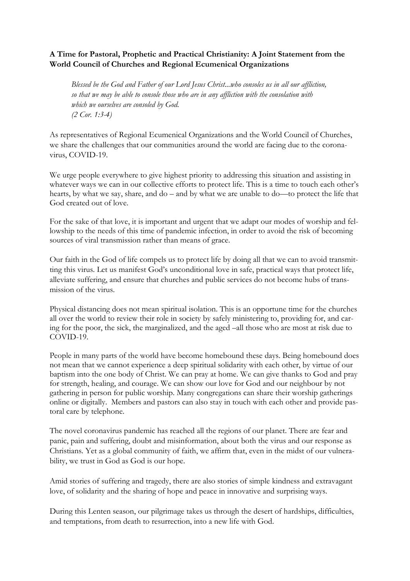## **A Time for Pastoral, Prophetic and Practical Christianity: A Joint Statement from the World Council of Churches and Regional Ecumenical Organizations**

*Blessed be the God and Father of our Lord Jesus Christ...who consoles us in all our affliction, so that we may be able to console those who are in any affliction with the consolation with which we ourselves are consoled by God. (2 Cor. 1:3-4)*

As representatives of Regional Ecumenical Organizations and the World Council of Churches, we share the challenges that our communities around the world are facing due to the coronavirus, COVID-19.

We urge people everywhere to give highest priority to addressing this situation and assisting in whatever ways we can in our collective efforts to protect life. This is a time to touch each other's hearts, by what we say, share, and do – and by what we are unable to do—to protect the life that God created out of love.

For the sake of that love, it is important and urgent that we adapt our modes of worship and fellowship to the needs of this time of pandemic infection, in order to avoid the risk of becoming sources of viral transmission rather than means of grace.

Our faith in the God of life compels us to protect life by doing all that we can to avoid transmitting this virus. Let us manifest God's unconditional love in safe, practical ways that protect life, alleviate suffering, and ensure that churches and public services do not become hubs of transmission of the virus.

Physical distancing does not mean spiritual isolation. This is an opportune time for the churches all over the world to review their role in society by safely ministering to, providing for, and caring for the poor, the sick, the marginalized, and the aged –all those who are most at risk due to COVID-19.

People in many parts of the world have become homebound these days. Being homebound does not mean that we cannot experience a deep spiritual solidarity with each other, by virtue of our baptism into the one body of Christ. We can pray at home. We can give thanks to God and pray for strength, healing, and courage. We can show our love for God and our neighbour by not gathering in person for public worship. Many congregations can share their worship gatherings online or digitally. Members and pastors can also stay in touch with each other and provide pastoral care by telephone.

The novel coronavirus pandemic has reached all the regions of our planet. There are fear and panic, pain and suffering, doubt and misinformation, about both the virus and our response as Christians. Yet as a global community of faith, we affirm that, even in the midst of our vulnerability, we trust in God as God is our hope.

Amid stories of suffering and tragedy, there are also stories of simple kindness and extravagant love, of solidarity and the sharing of hope and peace in innovative and surprising ways.

During this Lenten season, our pilgrimage takes us through the desert of hardships, difficulties, and temptations, from death to resurrection, into a new life with God.